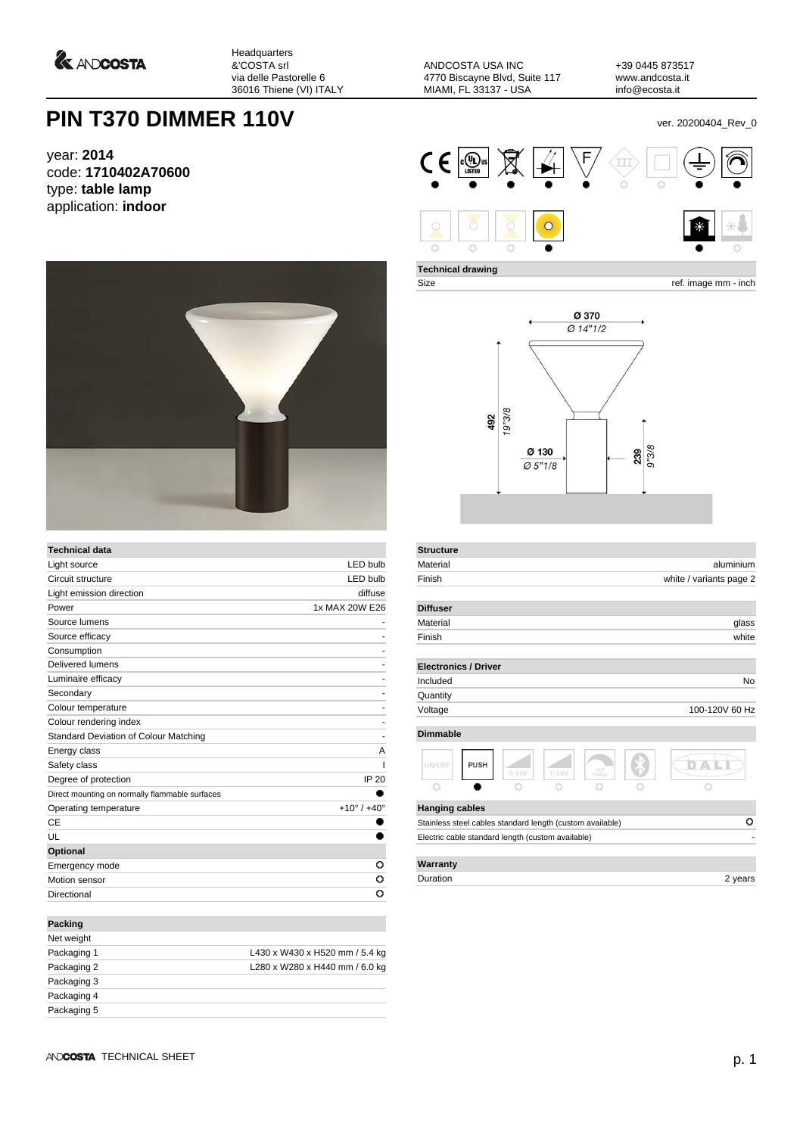*<u>A ANDCOSTA</u>* 

Headquarters &'COSTA srl via delle Pastorelle 6 36016 Thiene (VI) ITALY

ANDCOSTA USA INC 4770 Biscayne Blvd, Suite 117 MIAMI, FL 33137 - USA

+39 0445 873517 www.andcosta.it info@ecosta.it

## **PIN T370 DIMMER 110V PIN T370 DIMMER 110V**

year: **2014** code: **1710402A70600** type: **table lamp** application: **indoor**



| <b>Technical data</b>                          |                               |
|------------------------------------------------|-------------------------------|
| Light source                                   | LED bulb                      |
| Circuit structure                              | <b>LED bulb</b>               |
| Light emission direction                       | diffuse                       |
| Power                                          | 1x MAX 20W E26                |
| Source lumens                                  |                               |
| Source efficacy                                |                               |
| Consumption                                    |                               |
| Delivered lumens                               |                               |
| Luminaire efficacy                             |                               |
| Secondary                                      |                               |
| Colour temperature                             |                               |
| Colour rendering index                         |                               |
| Standard Deviation of Colour Matching          |                               |
| Energy class                                   | A                             |
| Safety class                                   |                               |
| Degree of protection                           | <b>IP 20</b>                  |
| Direct mounting on normally flammable surfaces |                               |
| Operating temperature                          | $+10^{\circ}$ / $+40^{\circ}$ |
| CE                                             |                               |
| UL                                             |                               |
| Optional                                       |                               |
| Emergency mode                                 | o                             |
| Motion sensor                                  | o                             |
| Directional                                    | O                             |
|                                                |                               |
| Packing                                        |                               |

| Net weight  |                                |
|-------------|--------------------------------|
| Packaging 1 | L430 x W430 x H520 mm / 5.4 kg |
| Packaging 2 | L280 x W280 x H440 mm / 6.0 kg |
| Packaging 3 |                                |
| Packaging 4 |                                |
| Packaging 5 |                                |
|             |                                |



**Technical drawing**

**Structure**

Size ref. image mm - inch



| Material                                                  |                         |           |              |  | aluminium      |  |
|-----------------------------------------------------------|-------------------------|-----------|--------------|--|----------------|--|
| Finish                                                    | white / variants page 2 |           |              |  |                |  |
| <b>Diffuser</b>                                           |                         |           |              |  |                |  |
| Material                                                  |                         |           |              |  | glass          |  |
| Finish                                                    |                         |           |              |  | white          |  |
| <b>Electronics / Driver</b>                               |                         |           |              |  |                |  |
| Included                                                  |                         |           |              |  | No             |  |
| Quantity                                                  |                         |           |              |  |                |  |
| Voltage                                                   |                         |           |              |  | 100-120V 60 Hz |  |
| <b>Dimmable</b>                                           |                         |           |              |  |                |  |
| <b>PUSH</b><br>ON/OFF                                     | $0 - 10V$               | $1 - 10V$ | CUT<br>PHASE |  |                |  |
|                                                           |                         |           |              |  |                |  |
| <b>Hanging cables</b>                                     |                         |           |              |  |                |  |
| Stainless steel cables standard length (custom available) |                         |           |              |  | o              |  |
| Electric cable standard length (custom available)         |                         |           |              |  |                |  |
|                                                           |                         |           |              |  |                |  |
| Warranty                                                  |                         |           |              |  |                |  |

Duration 2 years 2 years